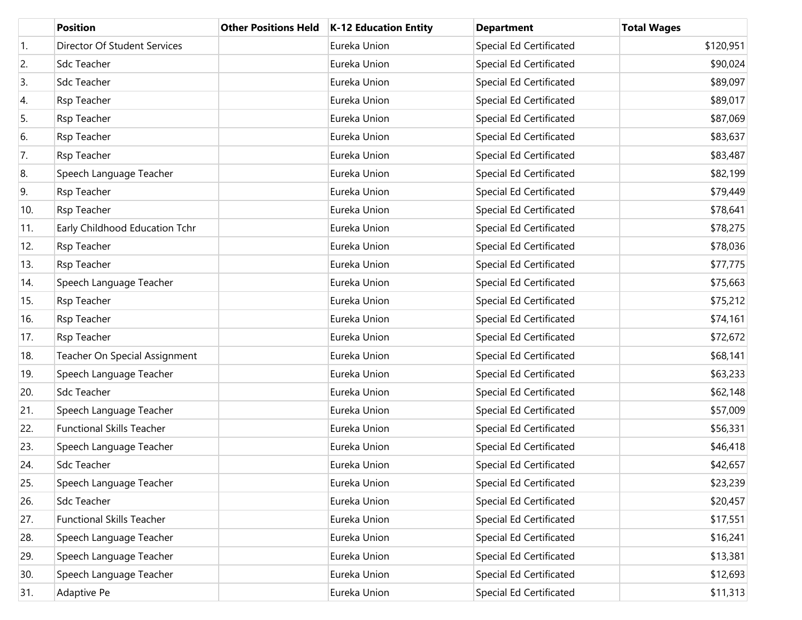|     | <b>Position</b>                  | <b>Other Positions Held</b> | <b>K-12 Education Entity</b> | <b>Department</b>              | <b>Total Wages</b> |
|-----|----------------------------------|-----------------------------|------------------------------|--------------------------------|--------------------|
| 1.  | Director Of Student Services     |                             | Eureka Union                 | Special Ed Certificated        | \$120,951          |
| 2.  | Sdc Teacher                      |                             | Eureka Union                 | Special Ed Certificated        | \$90,024           |
| 3.  | Sdc Teacher                      |                             | Eureka Union                 | Special Ed Certificated        | \$89,097           |
| 4.  | Rsp Teacher                      |                             | Eureka Union                 | Special Ed Certificated        | \$89,017           |
| 5.  | Rsp Teacher                      |                             | Eureka Union                 | Special Ed Certificated        | \$87,069           |
| 6.  | Rsp Teacher                      |                             | Eureka Union                 | <b>Special Ed Certificated</b> | \$83,637           |
| 7.  | Rsp Teacher                      |                             | Eureka Union                 | Special Ed Certificated        | \$83,487           |
| 8.  | Speech Language Teacher          |                             | Eureka Union                 | Special Ed Certificated        | \$82,199           |
| 9.  | Rsp Teacher                      |                             | Eureka Union                 | Special Ed Certificated        | \$79,449           |
| 10. | Rsp Teacher                      |                             | Eureka Union                 | Special Ed Certificated        | \$78,641           |
| 11. | Early Childhood Education Tchr   |                             | Eureka Union                 | Special Ed Certificated        | \$78,275           |
| 12. | Rsp Teacher                      |                             | Eureka Union                 | <b>Special Ed Certificated</b> | \$78,036           |
| 13. | Rsp Teacher                      |                             | Eureka Union                 | Special Ed Certificated        | \$77,775           |
| 14. | Speech Language Teacher          |                             | Eureka Union                 | Special Ed Certificated        | \$75,663           |
| 15. | Rsp Teacher                      |                             | Eureka Union                 | Special Ed Certificated        | \$75,212           |
| 16. | Rsp Teacher                      |                             | Eureka Union                 | Special Ed Certificated        | \$74,161           |
| 17. | Rsp Teacher                      |                             | Eureka Union                 | Special Ed Certificated        | \$72,672           |
| 18. | Teacher On Special Assignment    |                             | Eureka Union                 | Special Ed Certificated        | \$68,141           |
| 19. | Speech Language Teacher          |                             | Eureka Union                 | Special Ed Certificated        | \$63,233           |
| 20. | Sdc Teacher                      |                             | Eureka Union                 | Special Ed Certificated        | \$62,148           |
| 21. | Speech Language Teacher          |                             | Eureka Union                 | Special Ed Certificated        | \$57,009           |
| 22. | <b>Functional Skills Teacher</b> |                             | Eureka Union                 | Special Ed Certificated        | \$56,331           |
| 23. | Speech Language Teacher          |                             | Eureka Union                 | Special Ed Certificated        | \$46,418           |
| 24. | Sdc Teacher                      |                             | Eureka Union                 | Special Ed Certificated        | \$42,657           |
| 25. | Speech Language Teacher          |                             | Eureka Union                 | Special Ed Certificated        | \$23,239           |
| 26. | Sdc Teacher                      |                             | Eureka Union                 | Special Ed Certificated        | \$20,457           |
| 27. | <b>Functional Skills Teacher</b> |                             | Eureka Union                 | Special Ed Certificated        | \$17,551           |
| 28. | Speech Language Teacher          |                             | Eureka Union                 | Special Ed Certificated        | \$16,241           |
| 29. | Speech Language Teacher          |                             | Eureka Union                 | Special Ed Certificated        | \$13,381           |
| 30. | Speech Language Teacher          |                             | Eureka Union                 | Special Ed Certificated        | \$12,693           |
| 31. | Adaptive Pe                      |                             | Eureka Union                 | Special Ed Certificated        | \$11,313           |